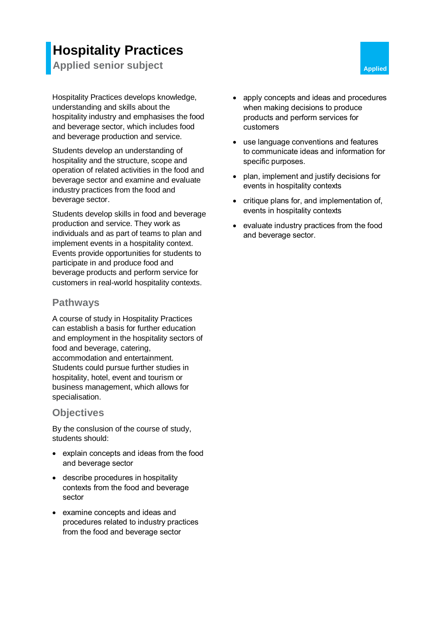# **Hospitality Practices**

**Applied senior subject Applied Applied Applied** 

Hospitality Practices develops knowledge, understanding and skills about the hospitality industry and emphasises the food and beverage sector, which includes food and beverage production and service.

Students develop an understanding of hospitality and the structure, scope and operation of related activities in the food and beverage sector and examine and evaluate industry practices from the food and beverage sector.

Students develop skills in food and beverage production and service. They work as individuals and as part of teams to plan and implement events in a hospitality context. Events provide opportunities for students to participate in and produce food and beverage products and perform service for customers in real-world hospitality contexts.

## **Pathways**

A course of study in Hospitality Practices can establish a basis for further education and employment in the hospitality sectors of food and beverage, catering, accommodation and entertainment. Students could pursue further studies in hospitality, hotel, event and tourism or business management, which allows for specialisation.

## **Objectives**

By the conslusion of the course of study, students should:

- explain concepts and ideas from the food and beverage sector
- describe procedures in hospitality contexts from the food and beverage sector
- examine concepts and ideas and procedures related to industry practices from the food and beverage sector
- apply concepts and ideas and procedures when making decisions to produce products and perform services for customers
- use language conventions and features to communicate ideas and information for specific purposes.
- plan, implement and justify decisions for events in hospitality contexts
- critique plans for, and implementation of, events in hospitality contexts
- evaluate industry practices from the food and beverage sector.